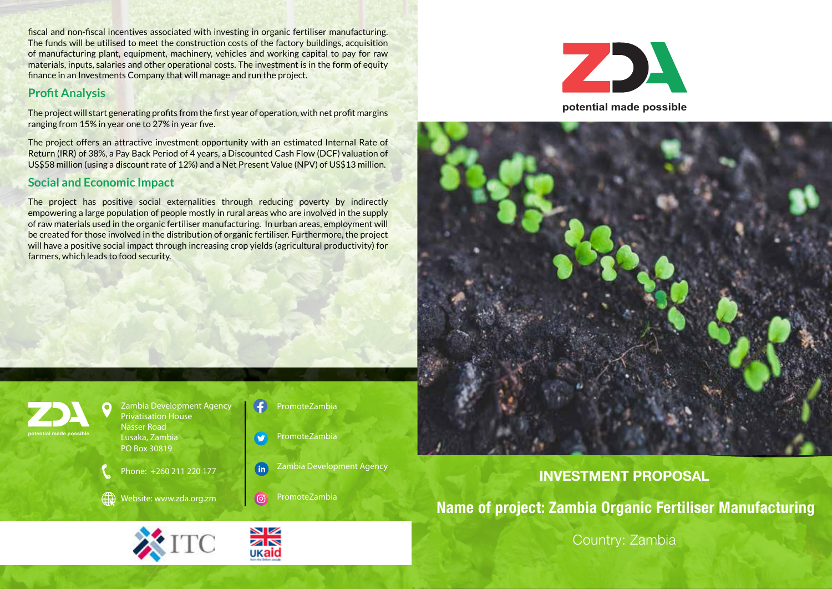fiscal and non-fiscal incentives associated with investing in organic fertiliser manufacturing. The funds will be utilised to meet the construction costs of the factory buildings, acquisition of manufacturing plant, equipment, machinery, vehicles and working capital to pay for raw materials, inputs, salaries and other operational costs. The investment is in the form of equity finance in an Investments Company that will manage and run the project.

# **Profit Analysis**

The project will start generating profits from the first year of operation, with net profit margins ranging from 15% in year one to 27% in year five.

The project offers an attractive investment opportunity with an estimated Internal Rate of Return (IRR) of 38%, a Pay Back Period of 4 years, a Discounted Cash Flow (DCF) valuation of US\$58 million (using a discount rate of 12%) and a Net Present Value (NPV) of US\$13 million.

# **Social and Economic Impact**

The project has positive social externalities through reducing poverty by indirectly empowering a large population of people mostly in rural areas who are involved in the supply of raw materials used in the organic fertiliser manufacturing. In urban areas, employment will be created for those involved in the distribution of organic fertiliser. Furthermore, the project will have a positive social impact through increasing crop yields (agricultural productivity) for farmers, which leads to food security.



Zambia Development Agency Privatisation House Nasser Road Lusaka, Zambia PO Box 30819

Phone: +260 211 220 177

Website: www.zda.org.zm



PromoteZambia  $\bullet$ 

Zambia Development Agency

PromoteZambia ெ





 $\overline{\mathbf{in}}$ 





**INVESTMENT PROPOSAL**

**Name of project: Zambia Organic Fertiliser Manufacturing**

Country: Zambia